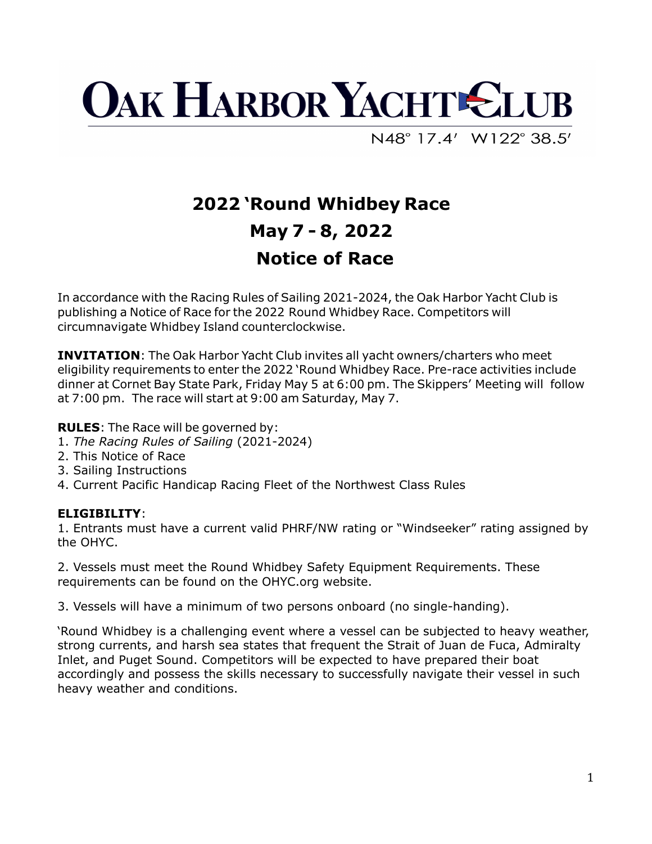

N48°17.4' W122°38.5'

## **2022 'Round Whidbey Race May 7 - 8, 2022 Notice of Race**

In accordance with the Racing Rules of Sailing 2021-2024, the Oak Harbor Yacht Club is publishing a Notice of Race for the 2022 Round Whidbey Race. Competitors will circumnavigate Whidbey Island counterclockwise.

**INVITATION:** The Oak Harbor Yacht Club invites all yacht owners/charters who meet eligibility requirements to enter the 2022 'Round Whidbey Race. Pre-race activities include dinner at Cornet Bay State Park, Friday May 5 at 6:00 pm. The Skippers' Meeting will follow at 7:00 pm. The race will start at 9:00 am Saturday, May 7.

**RULES**: The Race will be governed by:

- 1. *The Racing Rules of Sailing* (2021-2024)
- 2. This Notice of Race
- 3. Sailing Instructions
- 4. Current Pacific Handicap Racing Fleet of the Northwest Class Rules

## **ELIGIBILITY** :

1. Entrants must have a current valid PHRF/NW rating or "Windseeker" rating assigned by the OHYC.

2. Vessels must meet the Round Whidbey Safety Equipment Requirements. These requirements can be found on the OHYC.org website.

3. Vessels will have a minimum of two persons onboard (no single-handing).

'Round Whidbey is a challenging event where a vessel can be subjected to heavy weather, strong currents, and harsh sea states that frequent the Strait of Juan de Fuca, Admiralty Inlet, and Puget Sound. Competitors will be expected to have prepared their boat accordingly and possess the skills necessary to successfully navigate their vessel in such heavy weather and conditions.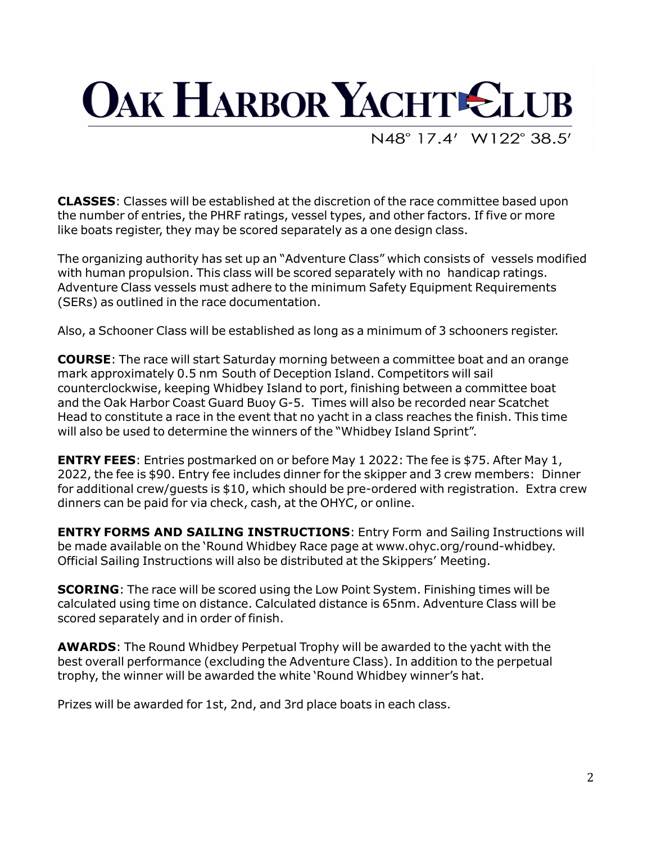

N48°17.4' W122°38.5'

**CLASSES** : Classes will be established at the discretion of the race committee based upon the number of entries, the PHRF ratings, vessel types, and other factors. If five or more like boats register, they may be scored separately as a one design class.

The organizing authority has set up an "Adventure Class" which consists of vessels modified with human propulsion. This class will be scored separately with no handicap ratings. Adventure Class vessels must adhere to the minimum Safety Equipment Requirements (SERs) as outlined in the race documentation.

Also, a Schooner Class will be established as long as a minimum of 3 schooners register.

**COURSE** : The race will start Saturday morning between a committee boat and an orange mark approximately 0.5 nm South of Deception Island. Competitors will sail counterclockwise, keeping Whidbey Island to port, finishing between a committee boat and the Oak Harbor Coast Guard Buoy G-5. Times will also be recorded near Scatchet Head to constitute a race in the event that no yacht in a class reaches the finish. This time will also be used to determine the winners of the "Whidbey Island Sprint".

**ENTRY FEES**: Entries postmarked on or before May 1 2022: The fee is \$75. After May 1, 2022, the fee is \$90. Entry fee includes dinner for the skipper and 3 crew members: Dinner for additional crew/guests is  $$10$ , which should be pre-ordered with registration. Extra crew dinners can be paid for via check, cash, at the OHYC, or online.

**ENTRY FORMS AND SAILING INSTRUCTIONS: Entry Form and Sailing Instructions will** be made available on the 'Round Whidbey Race page at www.ohyc.org/round-whidbey. Official Sailing Instructions will also be distributed at the Skippers' Meeting.

**SCORING**: The race will be scored using the Low Point System. Finishing times will be calculated using time on distance. Calculated distance is 65nm. Adventure Class will be scored separately and in order of finish.

**AWARDS**: The Round Whidbey Perpetual Trophy will be awarded to the yacht with the best overall performance (excluding the Adventure Class). In addition to the perpetual trophy, the winner will be awarded the white 'Round Whidbey winner's hat.

Prizes will be awarded for 1st, 2nd, and 3rd place boats in each class.